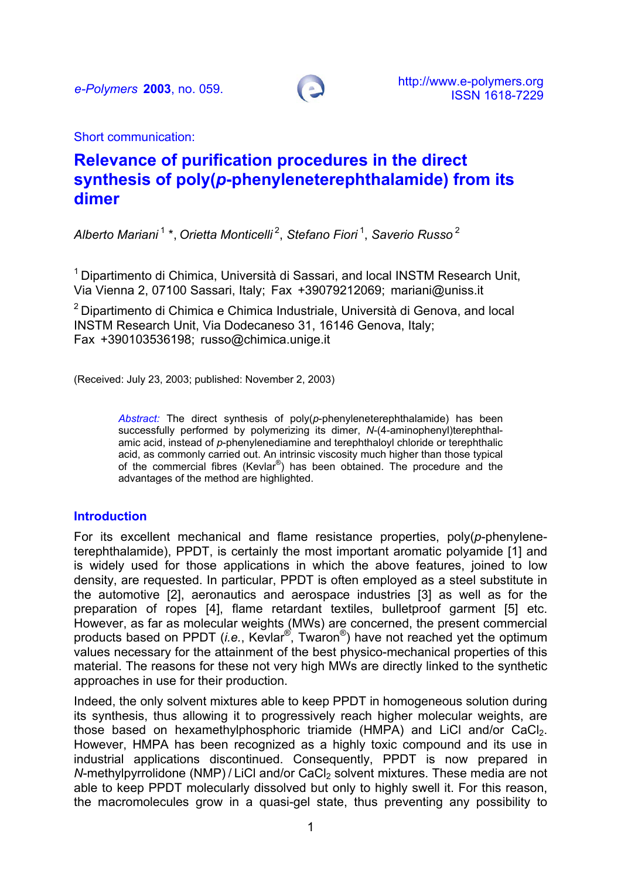

Short communication:

# **Relevance of purification procedures in the direct synthesis of poly(***p***-phenyleneterephthalamide) from its dimer**

*Alberto Mariani* 1 \*, *Orietta Monticelli* 2, *Stefano Fiori* 1, *Saverio Russo*<sup>2</sup>

<sup>1</sup> Dipartimento di Chimica. Università di Sassari, and local INSTM Research Unit, Via Vienna 2, 07100 Sassari, Italy; Fax +39079212069; mariani@uniss.it

<sup>2</sup> Dipartimento di Chimica e Chimica Industriale, Università di Genova, and local INSTM Research Unit, Via Dodecaneso 31, 16146 Genova, Italy; Fax +390103536198; russo@chimica.unige.it

(Received: July 23, 2003; published: November 2, 2003)

*Abstract:* The direct synthesis of poly(*p*-phenyleneterephthalamide) has been successfully performed by polymerizing its dimer, *N*-(4-aminophenyl)terephthalamic acid, instead of *p*-phenylenediamine and terephthaloyl chloride or terephthalic acid, as commonly carried out. An intrinsic viscosity much higher than those typical of the commercial fibres (Kevlar<sup>®</sup>) has been obtained. The procedure and the advantages of the method are highlighted.

#### **Introduction**

For its excellent mechanical and flame resistance properties, poly(*p*-phenyleneterephthalamide), PPDT, is certainly the most important aromatic polyamide [1] and is widely used for those applications in which the above features, joined to low density, are requested. In particular, PPDT is often employed as a steel substitute in the automotive [2], aeronautics and aerospace industries [3] as well as for the preparation of ropes [4], flame retardant textiles, bulletproof garment [5] etc. However, as far as molecular weights (MWs) are concerned, the present commercial products based on PPDT (*i.e.*, Kevlar®, Twaron®) have not reached yet the optimum values necessary for the attainment of the best physico-mechanical properties of this material. The reasons for these not very high MWs are directly linked to the synthetic approaches in use for their production.

Indeed, the only solvent mixtures able to keep PPDT in homogeneous solution during its synthesis, thus allowing it to progressively reach higher molecular weights, are those based on hexamethylphosphoric triamide (HMPA) and LiCl and/or CaCl<sub>2</sub>. However, HMPA has been recognized as a highly toxic compound and its use in industrial applications discontinued. Consequently, PPDT is now prepared in *N*-methylpyrrolidone (NMP) / LiCl and/or CaCl<sub>2</sub> solvent mixtures. These media are not able to keep PPDT molecularly dissolved but only to highly swell it. For this reason, the macromolecules grow in a quasi-gel state, thus preventing any possibility to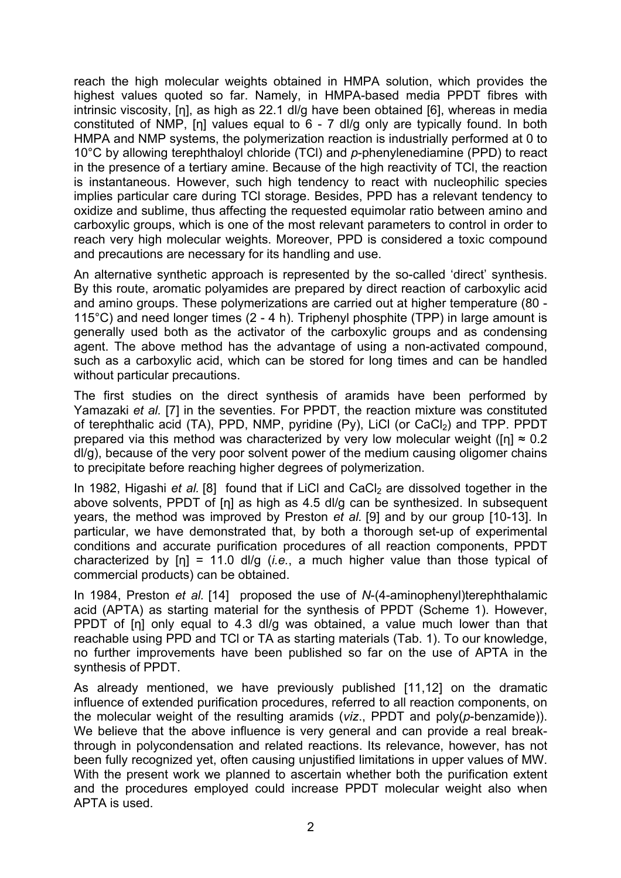reach the high molecular weights obtained in HMPA solution, which provides the highest values quoted so far. Namely, in HMPA-based media PPDT fibres with intrinsic viscosity, [η], as high as 22.1 dl/g have been obtained [6], whereas in media constituted of NMP, [η] values equal to 6 - 7 dl/g only are typically found. In both HMPA and NMP systems, the polymerization reaction is industrially performed at 0 to 10°C by allowing terephthaloyl chloride (TCl) and *p*-phenylenediamine (PPD) to react in the presence of a tertiary amine. Because of the high reactivity of TCl, the reaction is instantaneous. However, such high tendency to react with nucleophilic species implies particular care during TCl storage. Besides, PPD has a relevant tendency to oxidize and sublime, thus affecting the requested equimolar ratio between amino and carboxylic groups, which is one of the most relevant parameters to control in order to reach very high molecular weights. Moreover, PPD is considered a toxic compound and precautions are necessary for its handling and use.

An alternative synthetic approach is represented by the so-called 'direct' synthesis. By this route, aromatic polyamides are prepared by direct reaction of carboxylic acid and amino groups. These polymerizations are carried out at higher temperature (80 - 115°C) and need longer times (2 - 4 h). Triphenyl phosphite (TPP) in large amount is generally used both as the activator of the carboxylic groups and as condensing agent. The above method has the advantage of using a non-activated compound, such as a carboxylic acid, which can be stored for long times and can be handled without particular precautions.

The first studies on the direct synthesis of aramids have been performed by Yamazaki *et al.* [7] in the seventies. For PPDT, the reaction mixture was constituted of terephthalic acid (TA), PPD, NMP, pyridine (Py), LiCl (or CaCl<sub>2</sub>) and TPP. PPDT prepared via this method was characterized by very low molecular weight ( $[n] \approx 0.2$ dl/g), because of the very poor solvent power of the medium causing oligomer chains to precipitate before reaching higher degrees of polymerization.

In 1982, Higashi *et al.* [8] found that if LiCI and CaCI<sub>2</sub> are dissolved together in the above solvents, PPDT of [η] as high as 4.5 dl/g can be synthesized. In subsequent years, the method was improved by Preston *et al.* [9] and by our group [10-13]. In particular, we have demonstrated that, by both a thorough set-up of experimental conditions and accurate purification procedures of all reaction components, PPDT characterized by [η] = 11.0 dl/g (*i.e.*, a much higher value than those typical of commercial products) can be obtained.

In 1984, Preston *et al.* [14] proposed the use of *N*-(4-aminophenyl)terephthalamic acid (APTA) as starting material for the synthesis of PPDT (Scheme 1). However, PPDT of [n] only equal to 4.3 dl/g was obtained, a value much lower than that reachable using PPD and TCl or TA as starting materials (Tab. 1). To our knowledge, no further improvements have been published so far on the use of APTA in the synthesis of PPDT.

As already mentioned, we have previously published [11,12] on the dramatic influence of extended purification procedures, referred to all reaction components, on the molecular weight of the resulting aramids (*viz*., PPDT and poly(*p*-benzamide)). We believe that the above influence is very general and can provide a real breakthrough in polycondensation and related reactions. Its relevance, however, has not been fully recognized yet, often causing unjustified limitations in upper values of MW. With the present work we planned to ascertain whether both the purification extent and the procedures employed could increase PPDT molecular weight also when APTA is used.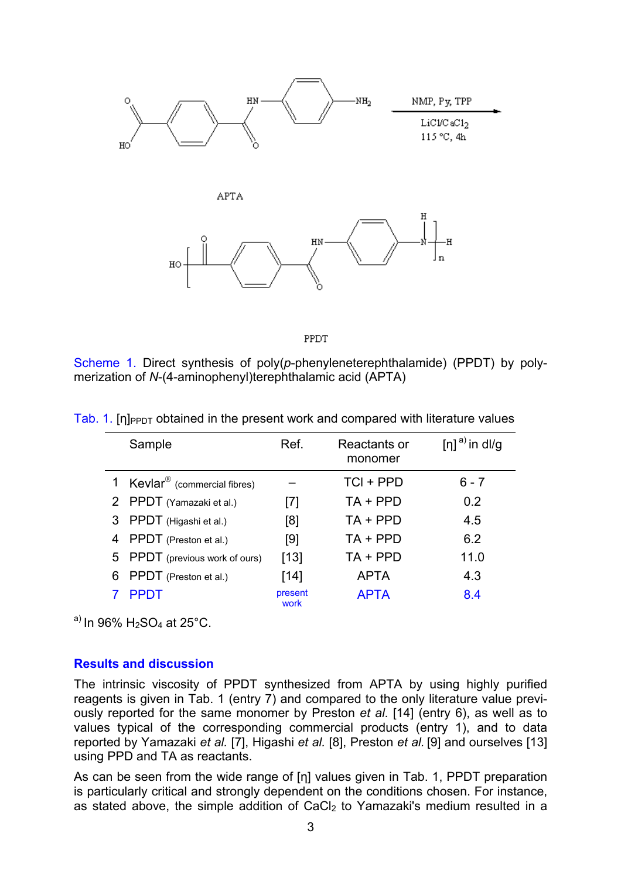

PPDT

Scheme 1. Direct synthesis of poly(*p*-phenyleneterephthalamide) (PPDT) by polymerization of *N*-(4-aminophenyl)terephthalamic acid (APTA)

|    | Sample                                    | Ref.            | Reactants or<br>monomer | $[n]$ <sup>a)</sup> in dl/g |
|----|-------------------------------------------|-----------------|-------------------------|-----------------------------|
|    | 1 Kevlar <sup>®</sup> (commercial fibres) |                 | TCI + PPD               | $6 - 7$                     |
|    | 2 PPDT (Yamazaki et al.)                  | [7]             | $TA + PPD$              | 0.2                         |
|    | 3 PPDT (Higashi et al.)                   | [8]             | $TA + PPD$              | 4.5                         |
|    | 4 PPDT (Preston et al.)                   | [9]             | $TA + PPD$              | 6.2                         |
|    | 5 PPDT (previous work of ours)            | $[13]$          | $TA + PPD$              | 11.0                        |
| 6. | PPDT (Preston et al.)                     | [14]            | <b>APTA</b>             | 4.3                         |
|    | <b>PPDT</b>                               | present<br>work | <b>APTA</b>             | 8.4                         |

Tab. 1. [η] $PPDT$  obtained in the present work and compared with literature values

a) In 96%  $H_2SO_4$  at 25°C.

## **Results and discussion**

The intrinsic viscosity of PPDT synthesized from APTA by using highly purified reagents is given in Tab. 1 (entry 7) and compared to the only literature value previously reported for the same monomer by Preston *et al*. [14] (entry 6), as well as to values typical of the corresponding commercial products (entry 1), and to data reported by Yamazaki *et al.* [7], Higashi *et al.* [8], Preston *et al.* [9] and ourselves [13] using PPD and TA as reactants.

As can be seen from the wide range of [η] values given in Tab. 1, PPDT preparation is particularly critical and strongly dependent on the conditions chosen. For instance, as stated above, the simple addition of CaCl<sub>2</sub> to Yamazaki's medium resulted in a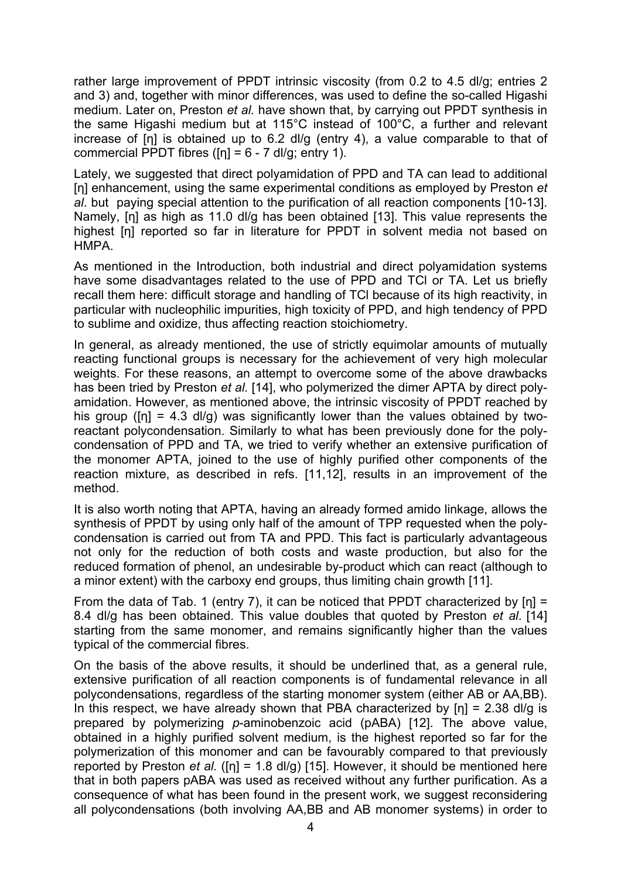rather large improvement of PPDT intrinsic viscosity (from 0.2 to 4.5 dl/g; entries 2 and 3) and, together with minor differences, was used to define the so-called Higashi medium. Later on, Preston *et al.* have shown that, by carrying out PPDT synthesis in the same Higashi medium but at 115°C instead of 100°C, a further and relevant increase of [η] is obtained up to 6.2 dl/g (entry 4), a value comparable to that of commercial PPDT fibres ( $[n] = 6 - 7$  dl/g; entry 1).

Lately, we suggested that direct polyamidation of PPD and TA can lead to additional [η] enhancement, using the same experimental conditions as employed by Preston *et al*. but paying special attention to the purification of all reaction components [10-13]. Namely, [η] as high as 11.0 dl/g has been obtained [13]. This value represents the highest [η] reported so far in literature for PPDT in solvent media not based on HMPA.

As mentioned in the Introduction, both industrial and direct polyamidation systems have some disadvantages related to the use of PPD and TCl or TA. Let us briefly recall them here: difficult storage and handling of TCl because of its high reactivity, in particular with nucleophilic impurities, high toxicity of PPD, and high tendency of PPD to sublime and oxidize, thus affecting reaction stoichiometry.

In general, as already mentioned, the use of strictly equimolar amounts of mutually reacting functional groups is necessary for the achievement of very high molecular weights. For these reasons, an attempt to overcome some of the above drawbacks has been tried by Preston *et al.* [14], who polymerized the dimer APTA by direct polyamidation. However, as mentioned above, the intrinsic viscosity of PPDT reached by his group ( $[n] = 4.3$  dl/g) was significantly lower than the values obtained by tworeactant polycondensation. Similarly to what has been previously done for the polycondensation of PPD and TA, we tried to verify whether an extensive purification of the monomer APTA, joined to the use of highly purified other components of the reaction mixture, as described in refs. [11,12], results in an improvement of the method.

It is also worth noting that APTA, having an already formed amido linkage, allows the synthesis of PPDT by using only half of the amount of TPP requested when the polycondensation is carried out from TA and PPD. This fact is particularly advantageous not only for the reduction of both costs and waste production, but also for the reduced formation of phenol, an undesirable by-product which can react (although to a minor extent) with the carboxy end groups, thus limiting chain growth [11].

From the data of Tab. 1 (entry 7), it can be noticed that PPDT characterized by  $[n] =$ 8.4 dl/g has been obtained. This value doubles that quoted by Preston *et al*. [14] starting from the same monomer, and remains significantly higher than the values typical of the commercial fibres.

On the basis of the above results, it should be underlined that, as a general rule, extensive purification of all reaction components is of fundamental relevance in all polycondensations, regardless of the starting monomer system (either AB or AA,BB). In this respect, we have already shown that PBA characterized by [n] = 2.38 dl/g is prepared by polymerizing *p*-aminobenzoic acid (pABA) [12]. The above value, obtained in a highly purified solvent medium, is the highest reported so far for the polymerization of this monomer and can be favourably compared to that previously reported by Preston *et al.* ([η] = 1.8 dl/g) [15]. However, it should be mentioned here that in both papers pABA was used as received without any further purification. As a consequence of what has been found in the present work, we suggest reconsidering all polycondensations (both involving AA,BB and AB monomer systems) in order to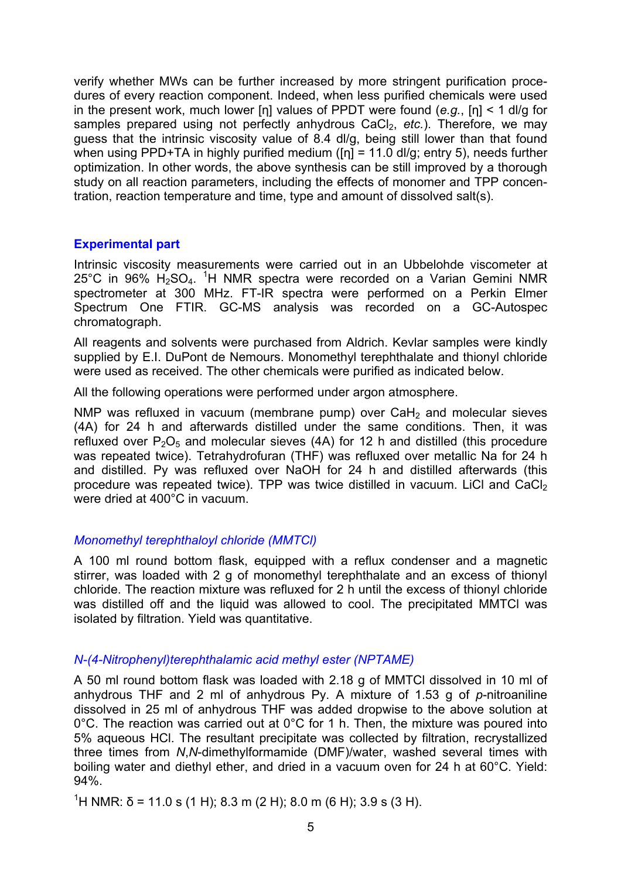verify whether MWs can be further increased by more stringent purification procedures of every reaction component. Indeed, when less purified chemicals were used in the present work, much lower [η] values of PPDT were found (*e.g.*, [η] < 1 dl/g for samples prepared using not perfectly anhydrous CaCl<sub>2</sub>, *etc.*). Therefore, we may guess that the intrinsic viscosity value of 8.4 dl/g, being still lower than that found when using PPD+TA in highly purified medium ( $[n] = 11.0$  dl/g; entry 5), needs further optimization. In other words, the above synthesis can be still improved by a thorough study on all reaction parameters, including the effects of monomer and TPP concentration, reaction temperature and time, type and amount of dissolved salt(s).

## **Experimental part**

Intrinsic viscosity measurements were carried out in an Ubbelohde viscometer at 25°C in 96%  $H_2$ SO<sub>4</sub>. <sup>1</sup>H NMR spectra were recorded on a Varian Gemini NMR spectrometer at 300 MHz. FT-IR spectra were performed on a Perkin Elmer Spectrum One FTIR. GC-MS analysis was recorded on a GC-Autospec chromatograph.

All reagents and solvents were purchased from Aldrich. Kevlar samples were kindly supplied by E.I. DuPont de Nemours. Monomethyl terephthalate and thionyl chloride were used as received. The other chemicals were purified as indicated below.

All the following operations were performed under argon atmosphere.

NMP was refluxed in vacuum (membrane pump) over  $CaH<sub>2</sub>$  and molecular sieves (4A) for 24 h and afterwards distilled under the same conditions. Then, it was refluxed over  $P_2O_5$  and molecular sieves (4A) for 12 h and distilled (this procedure was repeated twice). Tetrahydrofuran (THF) was refluxed over metallic Na for 24 h and distilled. Py was refluxed over NaOH for 24 h and distilled afterwards (this procedure was repeated twice). TPP was twice distilled in vacuum. LiCl and CaCl<sub>2</sub> were dried at 400°C in vacuum.

## *Monomethyl terephthaloyl chloride (MMTCl)*

A 100 ml round bottom flask, equipped with a reflux condenser and a magnetic stirrer, was loaded with 2 g of monomethyl terephthalate and an excess of thionyl chloride. The reaction mixture was refluxed for 2 h until the excess of thionyl chloride was distilled off and the liquid was allowed to cool. The precipitated MMTCl was isolated by filtration. Yield was quantitative.

## *N-(4-Nitrophenyl)terephthalamic acid methyl ester (NPTAME)*

A 50 ml round bottom flask was loaded with 2.18 g of MMTCl dissolved in 10 ml of anhydrous THF and 2 ml of anhydrous Py. A mixture of 1.53 g of *p*-nitroaniline dissolved in 25 ml of anhydrous THF was added dropwise to the above solution at 0°C. The reaction was carried out at 0°C for 1 h. Then, the mixture was poured into 5% aqueous HCl. The resultant precipitate was collected by filtration, recrystallized three times from *N*,*N*-dimethylformamide (DMF)/water, washed several times with boiling water and diethyl ether, and dried in a vacuum oven for 24 h at 60°C. Yield: 94%.

<sup>1</sup>H NMR: δ = 11.0 s (1 H); 8.3 m (2 H); 8.0 m (6 H); 3.9 s (3 H).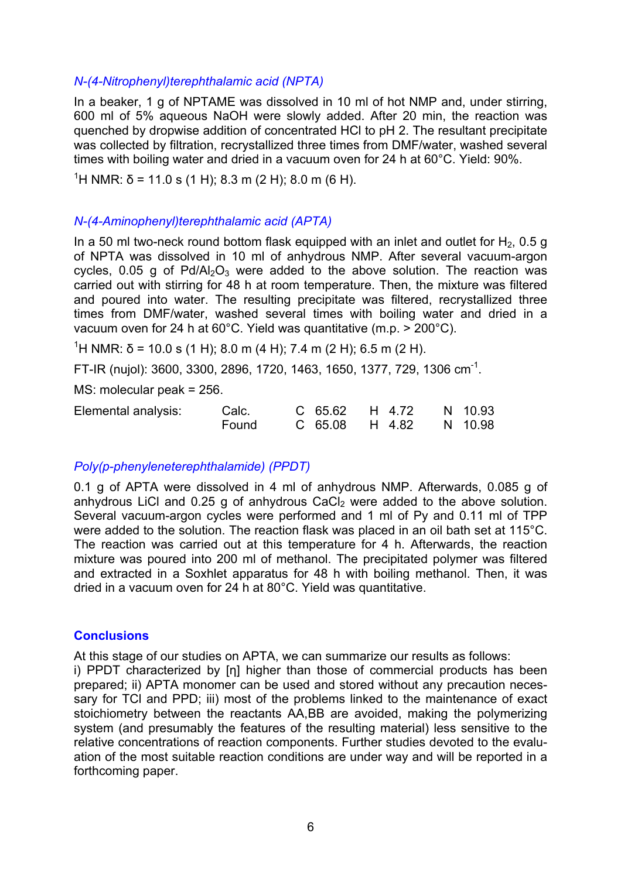## *N-(4-Nitrophenyl)terephthalamic acid (NPTA)*

In a beaker, 1 g of NPTAME was dissolved in 10 ml of hot NMP and, under stirring, 600 ml of 5% aqueous NaOH were slowly added. After 20 min, the reaction was quenched by dropwise addition of concentrated HCl to pH 2. The resultant precipitate was collected by filtration, recrystallized three times from DMF/water, washed several times with boiling water and dried in a vacuum oven for 24 h at 60°C. Yield: 90%.

<sup>1</sup>H NMR: δ = 11.0 s (1 H); 8.3 m (2 H); 8.0 m (6 H).

#### *N-(4-Aminophenyl)terephthalamic acid (APTA)*

In a 50 ml two-neck round bottom flask equipped with an inlet and outlet for  $H_2$ , 0.5 g of NPTA was dissolved in 10 ml of anhydrous NMP. After several vacuum-argon cycles, 0.05 g of Pd/Al<sub>2</sub>O<sub>3</sub> were added to the above solution. The reaction was carried out with stirring for 48 h at room temperature. Then, the mixture was filtered and poured into water. The resulting precipitate was filtered, recrystallized three times from DMF/water, washed several times with boiling water and dried in a vacuum oven for 24 h at 60°C. Yield was quantitative (m.p. > 200°C).

<sup>1</sup>H NMR: δ = 10.0 s (1 H); 8.0 m (4 H); 7.4 m (2 H); 6.5 m (2 H).

FT-IR (nujol): 3600, 3300, 2896, 1720, 1463, 1650, 1377, 729, 1306 cm-1.

MS: molecular peak = 256.

| Elemental analysis: | Calc. |  | C 65.62 H 4.72 N 10.93 |  |
|---------------------|-------|--|------------------------|--|
|                     | Found |  | C 65.08 H 4.82 N 10.98 |  |

## *Poly(p-phenyleneterephthalamide) (PPDT)*

0.1 g of APTA were dissolved in 4 ml of anhydrous NMP. Afterwards, 0.085 g of anhydrous LiCl and  $0.25$  g of anhydrous CaCl<sub>2</sub> were added to the above solution. Several vacuum-argon cycles were performed and 1 ml of Py and 0.11 ml of TPP were added to the solution. The reaction flask was placed in an oil bath set at 115°C. The reaction was carried out at this temperature for 4 h. Afterwards, the reaction mixture was poured into 200 ml of methanol. The precipitated polymer was filtered and extracted in a Soxhlet apparatus for 48 h with boiling methanol. Then, it was dried in a vacuum oven for 24 h at 80°C. Yield was quantitative.

#### **Conclusions**

At this stage of our studies on APTA, we can summarize our results as follows:

i) PPDT characterized by [η] higher than those of commercial products has been prepared; ii) APTA monomer can be used and stored without any precaution necessary for TCI and PPD; iii) most of the problems linked to the maintenance of exact stoichiometry between the reactants AA,BB are avoided, making the polymerizing system (and presumably the features of the resulting material) less sensitive to the relative concentrations of reaction components. Further studies devoted to the evaluation of the most suitable reaction conditions are under way and will be reported in a forthcoming paper.